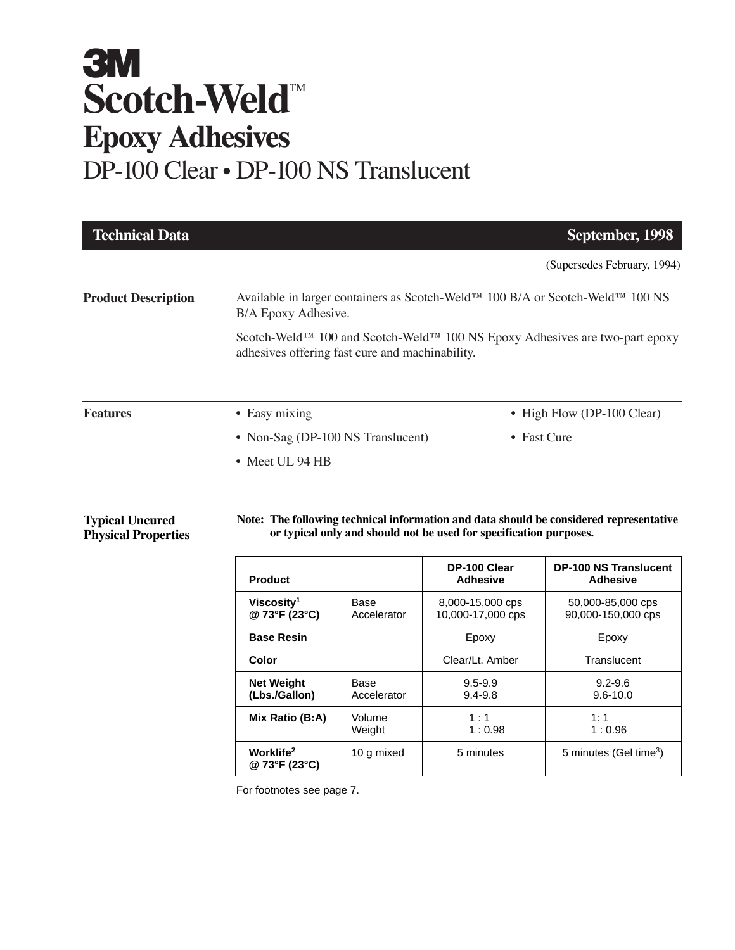# **3M Scotch-Weld™ Epoxy Adhesives** DP-100 Clear • DP-100 NS Translucent

| <b>Technical Data</b>                                |                                                                                                                                                        |                     |                                                                                                       | September, 1998                                                                                                                           |
|------------------------------------------------------|--------------------------------------------------------------------------------------------------------------------------------------------------------|---------------------|-------------------------------------------------------------------------------------------------------|-------------------------------------------------------------------------------------------------------------------------------------------|
|                                                      |                                                                                                                                                        |                     |                                                                                                       | (Supersedes February, 1994)                                                                                                               |
| <b>Product Description</b>                           | Available in larger containers as Scotch-Weld™ 100 B/A or Scotch-Weld™ 100 NS<br>B/A Epoxy Adhesive.                                                   |                     |                                                                                                       |                                                                                                                                           |
|                                                      | Scotch-Weld <sup>™</sup> 100 and Scotch-Weld <sup>™</sup> 100 NS Epoxy Adhesives are two-part epoxy<br>adhesives offering fast cure and machinability. |                     |                                                                                                       |                                                                                                                                           |
| <b>Features</b>                                      | • Easy mixing                                                                                                                                          |                     |                                                                                                       | • High Flow (DP-100 Clear)                                                                                                                |
|                                                      | • Non-Sag (DP-100 NS Translucent)                                                                                                                      |                     |                                                                                                       | • Fast Cure                                                                                                                               |
|                                                      | • Meet UL 94 HB                                                                                                                                        |                     |                                                                                                       |                                                                                                                                           |
| <b>Typical Uncured</b><br><b>Physical Properties</b> | <b>Product</b>                                                                                                                                         |                     | or typical only and should not be used for specification purposes.<br>DP-100 Clear<br><b>Adhesive</b> | Note: The following technical information and data should be considered representative<br><b>DP-100 NS Translucent</b><br><b>Adhesive</b> |
|                                                      | Viscosity <sup>1</sup><br>@ 73°F (23°C)                                                                                                                | Base<br>Accelerator | 8,000-15,000 cps<br>10,000-17,000 cps                                                                 | 50,000-85,000 cps<br>90,000-150,000 cps                                                                                                   |
|                                                      | <b>Base Resin</b>                                                                                                                                      |                     | Epoxy                                                                                                 | Epoxy                                                                                                                                     |
|                                                      | Color                                                                                                                                                  |                     | Clear/Lt. Amber                                                                                       | Translucent                                                                                                                               |
|                                                      | <b>Net Weight</b><br>(Lbs./Gallon)                                                                                                                     | Base<br>Accelerator | $9.5 - 9.9$<br>$9.4 - 9.8$                                                                            | $9.2 - 9.6$<br>$9.6 - 10.0$                                                                                                               |
|                                                      | Mix Ratio (B:A)                                                                                                                                        | Volume<br>Weight    | 1:1<br>1:0.98                                                                                         | 1:1<br>1:0.96                                                                                                                             |
|                                                      | Worklife <sup>2</sup><br>@ 73°F (23°C)                                                                                                                 | 10 g mixed          | 5 minutes                                                                                             | 5 minutes (Gel time <sup>3</sup> )                                                                                                        |

For footnotes see page 7.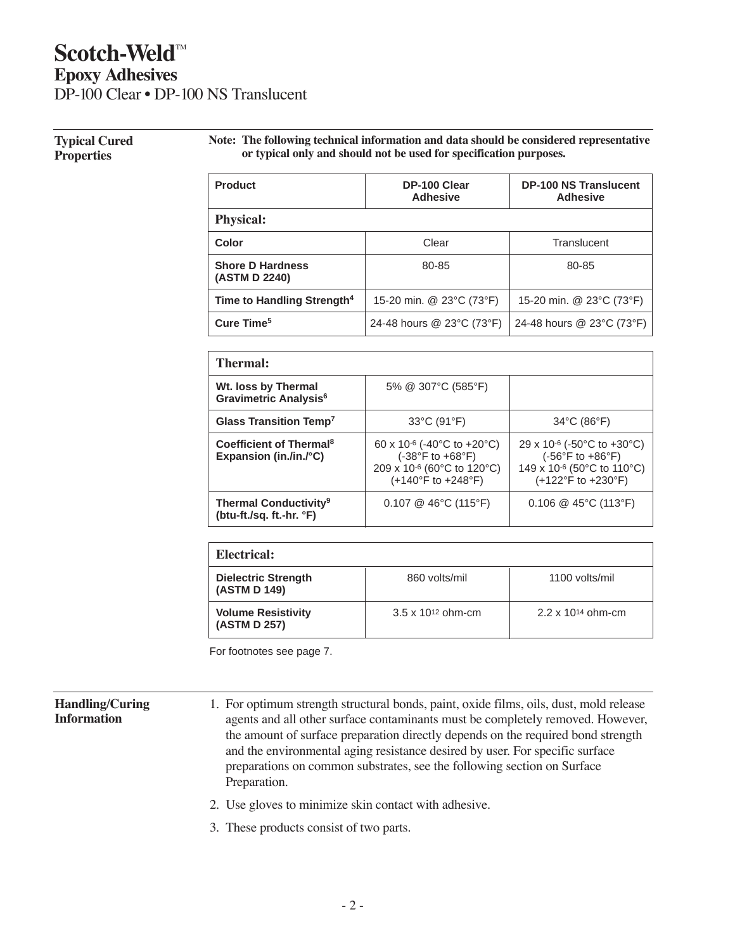# **Scotch-Weld™ Epoxy Adhesives**

DP-100 Clear • DP-100 NS Translucent

#### **Typical Cured Properties**

**Note: The following technical information and data should be considered representative or typical only and should not be used for specification purposes.**

| <b>Product</b>                           | DP-100 Clear<br><b>Adhesive</b> | <b>DP-100 NS Translucent</b><br>Adhesive |
|------------------------------------------|---------------------------------|------------------------------------------|
| <b>Physical:</b>                         |                                 |                                          |
| Color                                    | Clear                           | Translucent                              |
| <b>Shore D Hardness</b><br>(ASTM D 2240) | 80-85                           | 80-85                                    |
| Time to Handling Strength <sup>4</sup>   | 15-20 min. @ 23°C (73°F)        | 15-20 min. @ 23°C (73°F)                 |
| Cure Time <sup>5</sup>                   | 24-48 hours @ 23°C (73°F)       | 24-48 hours @ 23°C (73°F)                |

| Thermal:                                                                 |                                                                                                                                                                                               |                                                                                                                    |  |  |
|--------------------------------------------------------------------------|-----------------------------------------------------------------------------------------------------------------------------------------------------------------------------------------------|--------------------------------------------------------------------------------------------------------------------|--|--|
| Wt. loss by Thermal<br>Gravimetric Analysis <sup>6</sup>                 | 5% @ 307°C (585°F)                                                                                                                                                                            |                                                                                                                    |  |  |
| Glass Transition Temp <sup>7</sup>                                       | 33°C (91°F)                                                                                                                                                                                   | $34^{\circ}$ C (86 $^{\circ}$ F)                                                                                   |  |  |
| Coefficient of Thermal <sup>8</sup><br>Expansion (in./in./ $^{\circ}$ C) | 60 x 10 <sup>-6</sup> (-40 <sup>°</sup> C to +20 <sup>°</sup> C)<br>$(-38^{\circ}F to +68^{\circ}F)$<br>209 x 10 <sup>-6</sup> (60°C to 120°C)<br>$(+140^{\circ}F \text{ to } +248^{\circ}F)$ | 29 x 10-6 (-50°C to +30°C)<br>$(-56^{\circ}F to +86^{\circ}F)$<br>149 x 10-6 (50°C to 110°C)<br>(+122°F to +230°F) |  |  |
| <b>Thermal Conductivity<sup>9</sup></b><br>(btu-ft./sq. ft.-hr. °F)      | $0.107 \& 46^{\circ}$ C (115°F)                                                                                                                                                               | $0.106 \ @ 45^{\circ}C (113^{\circ}F)$                                                                             |  |  |

| Electrical:                                |                             |                             |  |  |
|--------------------------------------------|-----------------------------|-----------------------------|--|--|
| <b>Dielectric Strength</b><br>(ASTM D 149) | 860 volts/mil               | 1100 volts/mil              |  |  |
| <b>Volume Resistivity</b><br>(ASTM D 257)  | $3.5 \times 10^{12}$ ohm-cm | $2.2 \times 10^{14}$ ohm-cm |  |  |

For footnotes see page 7.

#### **Handling/Curing Information**

- 1. For optimum strength structural bonds, paint, oxide films, oils, dust, mold release agents and all other surface contaminants must be completely removed. However, the amount of surface preparation directly depends on the required bond strength and the environmental aging resistance desired by user. For specific surface preparations on common substrates, see the following section on Surface Preparation.
- 2. Use gloves to minimize skin contact with adhesive.
- 3. These products consist of two parts.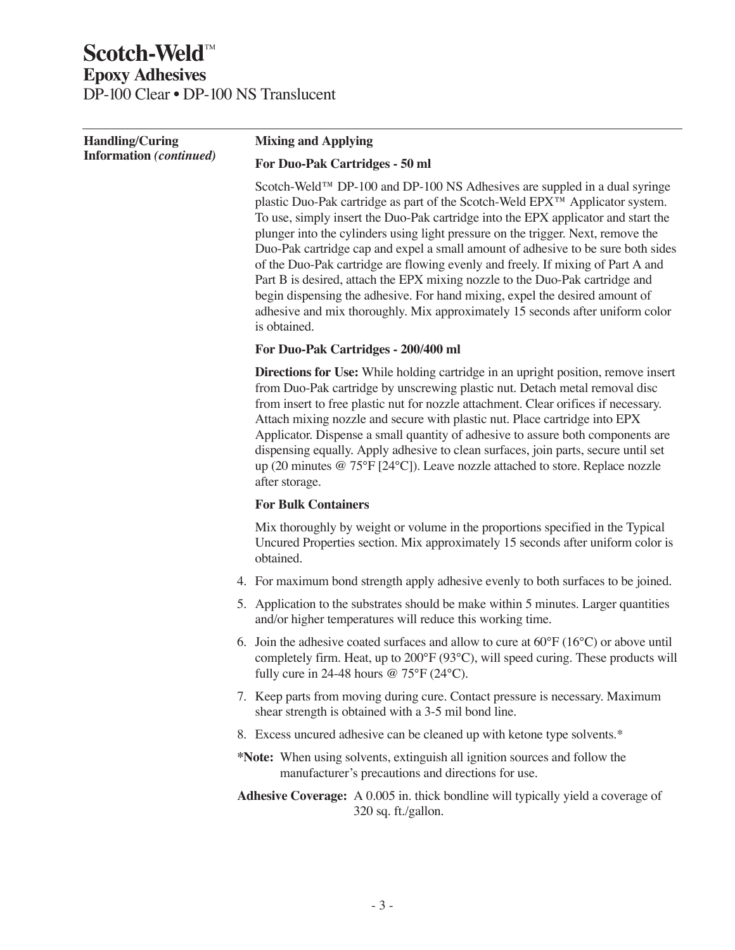# **Scotch-Weld™ Epoxy Adhesives** DP-100 Clear • DP-100 NS Translucent

| <b>Handling/Curing</b>         | <b>Mixing and Applying</b>                                                                                                                                                                                                                                                                                                                                                                                                                                                                                                                                                                                                                                                                                                                                                |  |  |
|--------------------------------|---------------------------------------------------------------------------------------------------------------------------------------------------------------------------------------------------------------------------------------------------------------------------------------------------------------------------------------------------------------------------------------------------------------------------------------------------------------------------------------------------------------------------------------------------------------------------------------------------------------------------------------------------------------------------------------------------------------------------------------------------------------------------|--|--|
| <b>Information</b> (continued) | For Duo-Pak Cartridges - 50 ml                                                                                                                                                                                                                                                                                                                                                                                                                                                                                                                                                                                                                                                                                                                                            |  |  |
|                                | Scotch-Weld™ DP-100 and DP-100 NS Adhesives are suppled in a dual syringe<br>plastic Duo-Pak cartridge as part of the Scotch-Weld EPX™ Applicator system.<br>To use, simply insert the Duo-Pak cartridge into the EPX applicator and start the<br>plunger into the cylinders using light pressure on the trigger. Next, remove the<br>Duo-Pak cartridge cap and expel a small amount of adhesive to be sure both sides<br>of the Duo-Pak cartridge are flowing evenly and freely. If mixing of Part A and<br>Part B is desired, attach the EPX mixing nozzle to the Duo-Pak cartridge and<br>begin dispensing the adhesive. For hand mixing, expel the desired amount of<br>adhesive and mix thoroughly. Mix approximately 15 seconds after uniform color<br>is obtained. |  |  |
|                                | For Duo-Pak Cartridges - 200/400 ml                                                                                                                                                                                                                                                                                                                                                                                                                                                                                                                                                                                                                                                                                                                                       |  |  |
|                                | <b>Directions for Use:</b> While holding cartridge in an upright position, remove insert<br>from Duo-Pak cartridge by unscrewing plastic nut. Detach metal removal disc<br>from insert to free plastic nut for nozzle attachment. Clear orifices if necessary.<br>Attach mixing nozzle and secure with plastic nut. Place cartridge into EPX<br>Applicator. Dispense a small quantity of adhesive to assure both components are<br>dispensing equally. Apply adhesive to clean surfaces, join parts, secure until set<br>up (20 minutes $@ 75^{\circ}F [24^{\circ}C]$ ). Leave nozzle attached to store. Replace nozzle<br>after storage.                                                                                                                                 |  |  |
|                                | <b>For Bulk Containers</b>                                                                                                                                                                                                                                                                                                                                                                                                                                                                                                                                                                                                                                                                                                                                                |  |  |
|                                | Mix thoroughly by weight or volume in the proportions specified in the Typical<br>Uncured Properties section. Mix approximately 15 seconds after uniform color is<br>obtained.                                                                                                                                                                                                                                                                                                                                                                                                                                                                                                                                                                                            |  |  |
|                                | 4. For maximum bond strength apply adhesive evenly to both surfaces to be joined.                                                                                                                                                                                                                                                                                                                                                                                                                                                                                                                                                                                                                                                                                         |  |  |
|                                | 5. Application to the substrates should be make within 5 minutes. Larger quantities<br>and/or higher temperatures will reduce this working time.                                                                                                                                                                                                                                                                                                                                                                                                                                                                                                                                                                                                                          |  |  |
|                                | 6. Join the adhesive coated surfaces and allow to cure at $60^{\circ}F(16^{\circ}C)$ or above until<br>completely firm. Heat, up to 200°F (93°C), will speed curing. These products will<br>fully cure in 24-48 hours $@ 75^{\circ}F (24^{\circ}C)$ .                                                                                                                                                                                                                                                                                                                                                                                                                                                                                                                     |  |  |
|                                | 7. Keep parts from moving during cure. Contact pressure is necessary. Maximum<br>shear strength is obtained with a 3-5 mil bond line.                                                                                                                                                                                                                                                                                                                                                                                                                                                                                                                                                                                                                                     |  |  |
|                                | 8. Excess uncured adhesive can be cleaned up with ketone type solvents.*                                                                                                                                                                                                                                                                                                                                                                                                                                                                                                                                                                                                                                                                                                  |  |  |
|                                | *Note: When using solvents, extinguish all ignition sources and follow the<br>manufacturer's precautions and directions for use.                                                                                                                                                                                                                                                                                                                                                                                                                                                                                                                                                                                                                                          |  |  |
|                                | Adhesive Coverage: A 0.005 in. thick bondline will typically yield a coverage of<br>320 sq. ft./gallon.                                                                                                                                                                                                                                                                                                                                                                                                                                                                                                                                                                                                                                                                   |  |  |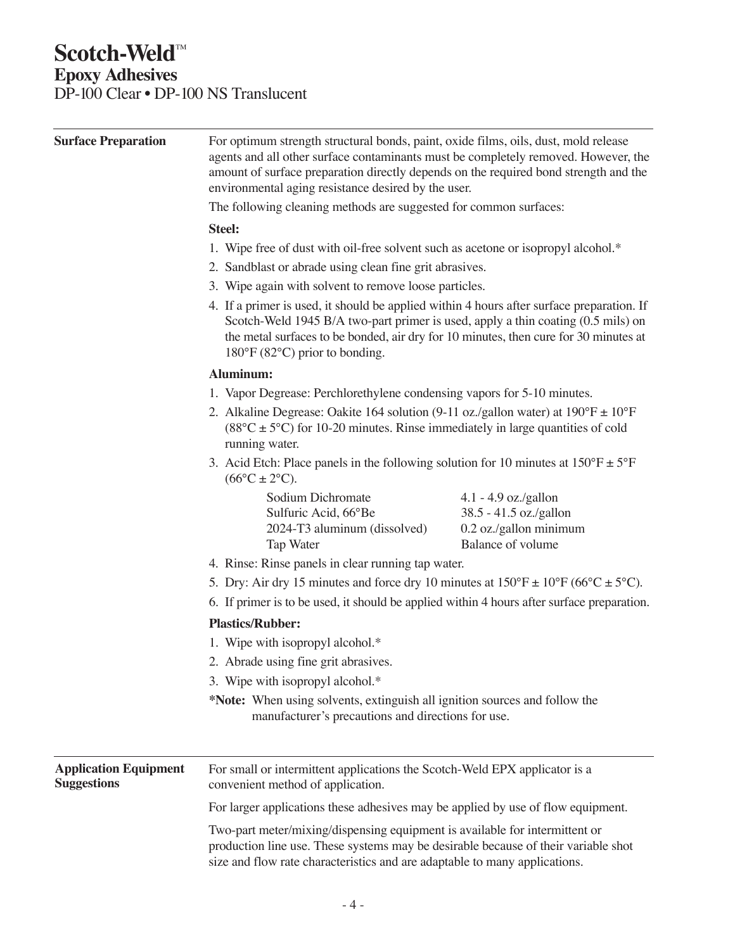# **Scotch-Weld™ Epoxy Adhesives**

DP-100 Clear • DP-100 NS Translucent

| <b>Surface Preparation</b>                         | For optimum strength structural bonds, paint, oxide films, oils, dust, mold release<br>agents and all other surface contaminants must be completely removed. However, the<br>amount of surface preparation directly depends on the required bond strength and the<br>environmental aging resistance desired by the user.<br>The following cleaning methods are suggested for common surfaces:                                                                                                                                         |                                                                                                 |  |  |
|----------------------------------------------------|---------------------------------------------------------------------------------------------------------------------------------------------------------------------------------------------------------------------------------------------------------------------------------------------------------------------------------------------------------------------------------------------------------------------------------------------------------------------------------------------------------------------------------------|-------------------------------------------------------------------------------------------------|--|--|
|                                                    |                                                                                                                                                                                                                                                                                                                                                                                                                                                                                                                                       |                                                                                                 |  |  |
|                                                    | 1. Wipe free of dust with oil-free solvent such as acetone or isopropyl alcohol.*<br>2. Sandblast or abrade using clean fine grit abrasives.<br>3. Wipe again with solvent to remove loose particles.<br>4. If a primer is used, it should be applied within 4 hours after surface preparation. If<br>Scotch-Weld 1945 B/A two-part primer is used, apply a thin coating (0.5 mils) on<br>the metal surfaces to be bonded, air dry for 10 minutes, then cure for 30 minutes at<br>$180^{\circ}$ F (82 $^{\circ}$ C) prior to bonding. |                                                                                                 |  |  |
|                                                    |                                                                                                                                                                                                                                                                                                                                                                                                                                                                                                                                       |                                                                                                 |  |  |
|                                                    |                                                                                                                                                                                                                                                                                                                                                                                                                                                                                                                                       |                                                                                                 |  |  |
|                                                    |                                                                                                                                                                                                                                                                                                                                                                                                                                                                                                                                       |                                                                                                 |  |  |
|                                                    | Aluminum:                                                                                                                                                                                                                                                                                                                                                                                                                                                                                                                             |                                                                                                 |  |  |
|                                                    | 1. Vapor Degrease: Perchlorethylene condensing vapors for 5-10 minutes.                                                                                                                                                                                                                                                                                                                                                                                                                                                               |                                                                                                 |  |  |
|                                                    | 2. Alkaline Degrease: Oakite 164 solution (9-11 oz./gallon water) at $190^{\circ}F \pm 10^{\circ}F$<br>$(88^{\circ}C \pm 5^{\circ}C)$ for 10-20 minutes. Rinse immediately in large quantities of cold<br>running water.<br>3. Acid Etch: Place panels in the following solution for 10 minutes at $150^{\circ}F \pm 5^{\circ}F$<br>$(66^{\circ}C \pm 2^{\circ}C).$                                                                                                                                                                   |                                                                                                 |  |  |
|                                                    |                                                                                                                                                                                                                                                                                                                                                                                                                                                                                                                                       |                                                                                                 |  |  |
|                                                    | Sodium Dichromate<br>Sulfuric Acid, 66°Be<br>2024-T3 aluminum (dissolved)<br>Tap Water                                                                                                                                                                                                                                                                                                                                                                                                                                                | $4.1 - 4.9$ oz./gallon<br>38.5 - 41.5 oz./gallon<br>0.2 oz./gallon minimum<br>Balance of volume |  |  |
|                                                    | 4. Rinse: Rinse panels in clear running tap water.                                                                                                                                                                                                                                                                                                                                                                                                                                                                                    |                                                                                                 |  |  |
|                                                    | 5. Dry: Air dry 15 minutes and force dry 10 minutes at $150^{\circ}F \pm 10^{\circ}F (66^{\circ}C \pm 5^{\circ}C)$ .<br>6. If primer is to be used, it should be applied within 4 hours after surface preparation.                                                                                                                                                                                                                                                                                                                    |                                                                                                 |  |  |
|                                                    |                                                                                                                                                                                                                                                                                                                                                                                                                                                                                                                                       |                                                                                                 |  |  |
|                                                    | <b>Plastics/Rubber:</b>                                                                                                                                                                                                                                                                                                                                                                                                                                                                                                               |                                                                                                 |  |  |
|                                                    | 1. Wipe with isopropyl alcohol.*                                                                                                                                                                                                                                                                                                                                                                                                                                                                                                      |                                                                                                 |  |  |
|                                                    | 2. Abrade using fine grit abrasives.                                                                                                                                                                                                                                                                                                                                                                                                                                                                                                  |                                                                                                 |  |  |
|                                                    | 3. Wipe with isopropyl alcohol.*                                                                                                                                                                                                                                                                                                                                                                                                                                                                                                      |                                                                                                 |  |  |
|                                                    | *Note: When using solvents, extinguish all ignition sources and follow the<br>manufacturer's precautions and directions for use.                                                                                                                                                                                                                                                                                                                                                                                                      |                                                                                                 |  |  |
| <b>Application Equipment</b><br><b>Suggestions</b> | For small or intermittent applications the Scotch-Weld EPX applicator is a<br>convenient method of application.                                                                                                                                                                                                                                                                                                                                                                                                                       |                                                                                                 |  |  |
|                                                    | For larger applications these adhesives may be applied by use of flow equipment.                                                                                                                                                                                                                                                                                                                                                                                                                                                      |                                                                                                 |  |  |
|                                                    | Two-part meter/mixing/dispensing equipment is available for intermittent or<br>production line use. These systems may be desirable because of their variable shot<br>size and flow rate characteristics and are adaptable to many applications.                                                                                                                                                                                                                                                                                       |                                                                                                 |  |  |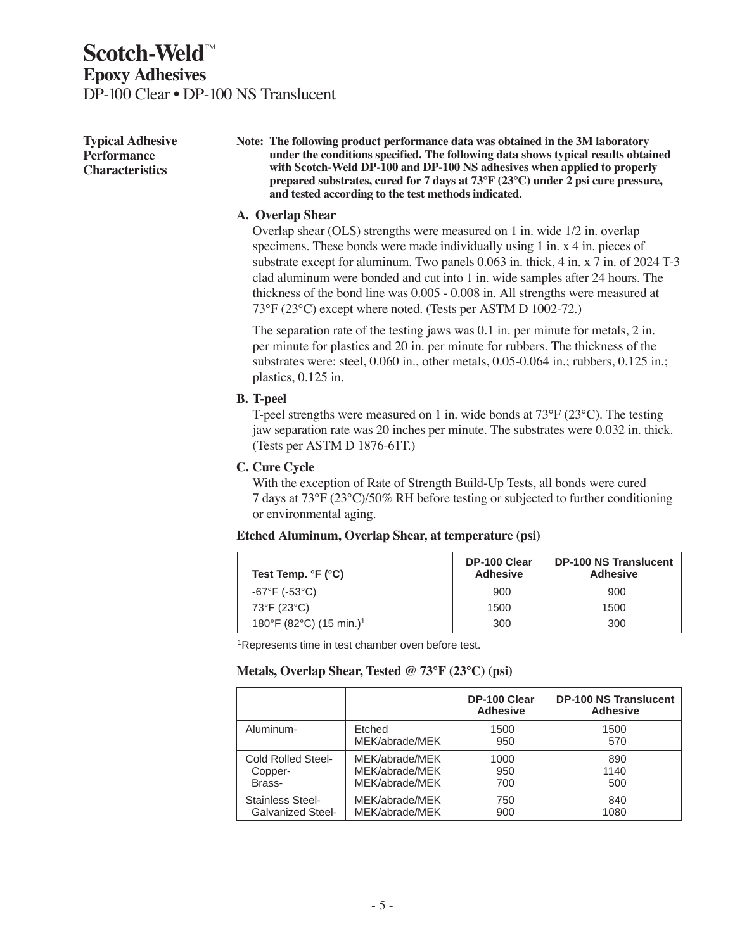### **Scotch-Weld**<sup>™</sup> **Epoxy Adhesives** DP-100 Clear • DP-100 NS Translucent

| Note: The following product performance data was obtained in the 3M laboratory<br>under the conditions specified. The following data shows typical results obtained<br>with Scotch-Weld DP-100 and DP-100 NS adhesives when applied to properly<br>prepared substrates, cured for 7 days at 73 $\degree$ F (23 $\degree$ C) under 2 psi cure pressure, |
|--------------------------------------------------------------------------------------------------------------------------------------------------------------------------------------------------------------------------------------------------------------------------------------------------------------------------------------------------------|
| and tested according to the test methods indicated.                                                                                                                                                                                                                                                                                                    |
|                                                                                                                                                                                                                                                                                                                                                        |

#### **A. Overlap Shear**

Overlap shear (OLS) strengths were measured on 1 in. wide 1/2 in. overlap specimens. These bonds were made individually using 1 in. x 4 in. pieces of substrate except for aluminum. Two panels 0.063 in. thick, 4 in. x 7 in. of 2024 T-3 clad aluminum were bonded and cut into 1 in. wide samples after 24 hours. The thickness of the bond line was 0.005 - 0.008 in. All strengths were measured at 73°F (23°C) except where noted. (Tests per ASTM D 1002-72.)

The separation rate of the testing jaws was 0.1 in. per minute for metals, 2 in. per minute for plastics and 20 in. per minute for rubbers. The thickness of the substrates were: steel, 0.060 in., other metals, 0.05-0.064 in.; rubbers, 0.125 in.; plastics, 0.125 in.

#### **B. T-peel**

T-peel strengths were measured on 1 in. wide bonds at 73°F (23°C). The testing jaw separation rate was 20 inches per minute. The substrates were 0.032 in. thick. (Tests per ASTM D 1876-61T.)

#### **C. Cure Cycle**

With the exception of Rate of Strength Build-Up Tests, all bonds were cured 7 days at 73°F (23°C)/50% RH before testing or subjected to further conditioning or environmental aging.

#### **Etched Aluminum, Overlap Shear, at temperature (psi)**

| Test Temp. $\mathsf{F}$ ( $\mathsf{C}$ ) | DP-100 Clear<br><b>Adhesive</b> | <b>DP-100 NS Translucent</b><br><b>Adhesive</b> |
|------------------------------------------|---------------------------------|-------------------------------------------------|
| $-67^{\circ}F$ (-53 $^{\circ}C$ )        | 900                             | 900                                             |
| 73°F (23°C)                              | 1500                            | 1500                                            |
| 180°F (82°C) (15 min.) <sup>1</sup>      | 300                             | 300                                             |

<sup>1</sup>Represents time in test chamber oven before test.

#### **Metals, Overlap Shear, Tested @ 73°F (23°C) (psi)**

|                          |                | DP-100 Clear<br><b>Adhesive</b> | <b>DP-100 NS Translucent</b><br><b>Adhesive</b> |
|--------------------------|----------------|---------------------------------|-------------------------------------------------|
| Aluminum-                | Etched         | 1500                            | 1500                                            |
|                          | MEK/abrade/MEK | 950                             | 570                                             |
| Cold Rolled Steel-       | MEK/abrade/MEK | 1000                            | 890                                             |
| Copper-                  | MEK/abrade/MEK | 950                             | 1140                                            |
| Brass-                   | MEK/abrade/MEK | 700                             | 500                                             |
| Stainless Steel-         | MEK/abrade/MEK | 750                             | 840                                             |
| <b>Galvanized Steel-</b> | MEK/abrade/MEK | 900                             | 1080                                            |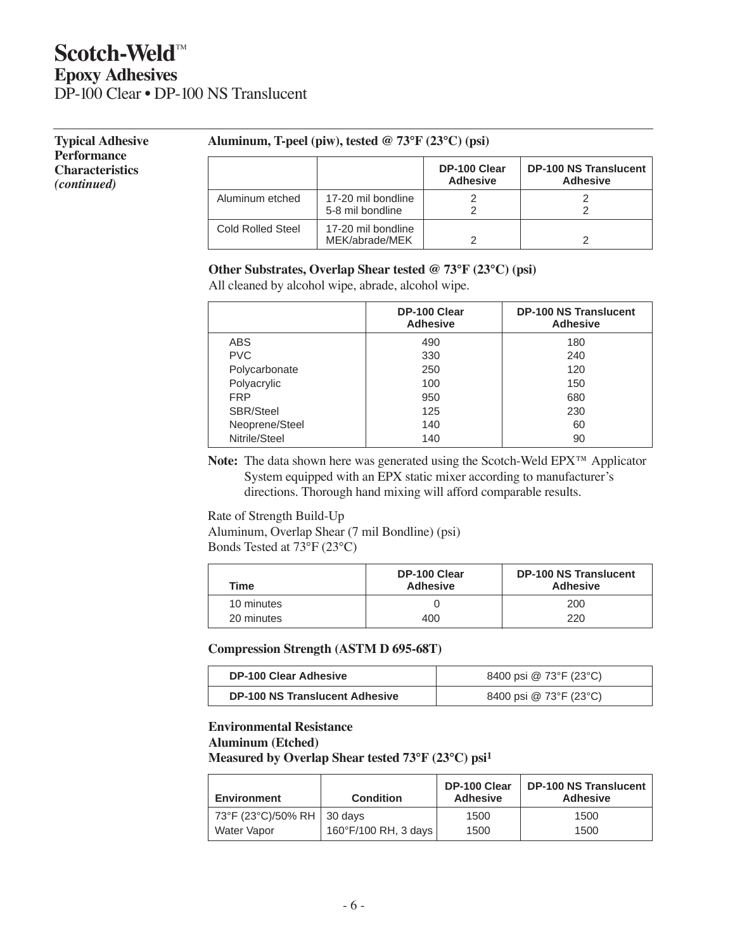### **Scotch-Weld™ Epoxy Adhesives** DP-100 Clear • DP-100 NS Translucent

**Typical Adhesive**

#### **Performance Characteristics** *(continued)*

#### **Aluminum, T-peel (piw), tested @ 73°F (23°C) (psi)**

|                   |                                        | DP-100 Clear<br><b>Adhesive</b> | <b>DP-100 NS Translucent</b><br><b>Adhesive</b> |
|-------------------|----------------------------------------|---------------------------------|-------------------------------------------------|
| Aluminum etched   | 17-20 mil bondline<br>5-8 mil bondline |                                 |                                                 |
| Cold Rolled Steel | 17-20 mil bondline<br>MEK/abrade/MEK   |                                 |                                                 |

#### **Other Substrates, Overlap Shear tested @ 73°F (23°C) (psi)**

All cleaned by alcohol wipe, abrade, alcohol wipe.

|                  | DP-100 Clear<br><b>Adhesive</b> | <b>DP-100 NS Translucent</b><br><b>Adhesive</b> |
|------------------|---------------------------------|-------------------------------------------------|
| ABS              | 490                             | 180                                             |
| <b>PVC</b>       | 330                             | 240                                             |
| Polycarbonate    | 250                             | 120                                             |
| Polyacrylic      | 100                             | 150                                             |
| <b>FRP</b>       | 950                             | 680                                             |
| <b>SBR/Steel</b> | 125                             | 230                                             |
| Neoprene/Steel   | 140                             | 60                                              |
| Nitrile/Steel    | 140                             | 90                                              |

**Note:** The data shown here was generated using the Scotch-Weld EPX™ Applicator System equipped with an EPX static mixer according to manufacturer's directions. Thorough hand mixing will afford comparable results.

Rate of Strength Build-Up

Aluminum, Overlap Shear (7 mil Bondline) (psi) Bonds Tested at 73°F (23°C)

| Time                     | DP-100 Clear<br><b>Adhesive</b> | <b>DP-100 NS Translucent</b><br><b>Adhesive</b> |
|--------------------------|---------------------------------|-------------------------------------------------|
| 10 minutes<br>20 minutes | 400                             | 200<br>220                                      |
|                          |                                 |                                                 |

**Compression Strength (ASTM D 695-68T)**

| <b>DP-100 Clear Adhesive</b>          | 8400 psi @ 73°F (23°C) |
|---------------------------------------|------------------------|
| <b>DP-100 NS Translucent Adhesive</b> | 8400 psi @ 73°F (23°C) |

### **Environmental Resistance**

**Aluminum (Etched)**

**Measured by Overlap Shear tested 73°F (23°C) psi1**

| Environment                  | <b>Condition</b>     | DP-100 Clear<br><b>Adhesive</b> | DP-100 NS Translucent  <br><b>Adhesive</b> |
|------------------------------|----------------------|---------------------------------|--------------------------------------------|
| 73°F (23°C)/50% RH   30 days | 160°F/100 RH, 3 days | 1500                            | 1500                                       |
| Water Vapor                  |                      | 1500                            | 1500                                       |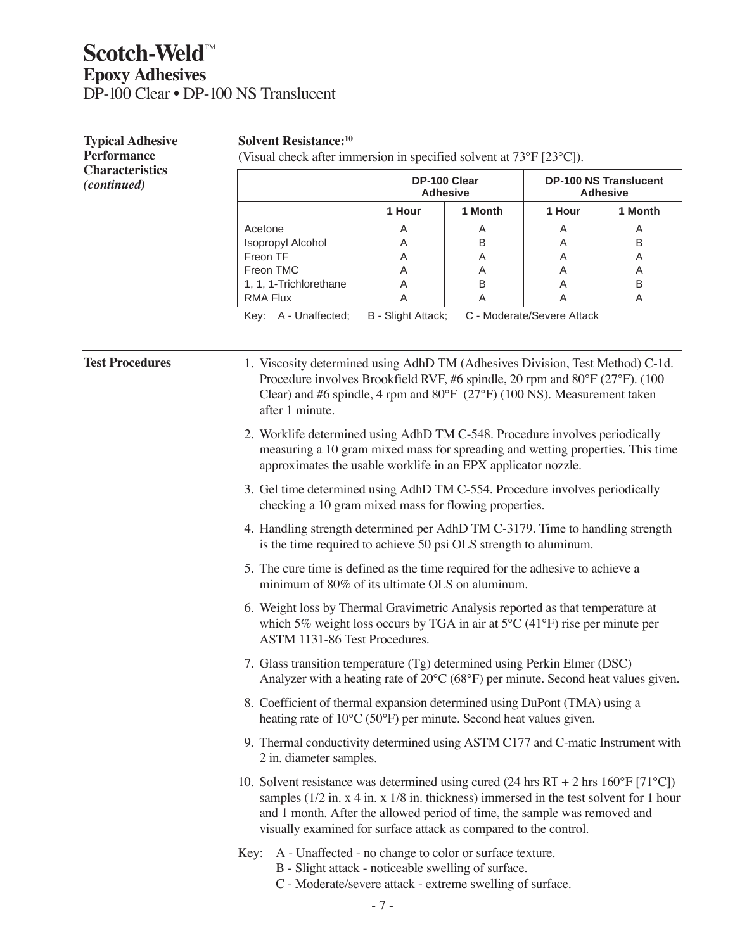# **Scotch-Weld™ Epoxy Adhesives** DP-100 Clear • DP-100 NS Translucent

| <b>Typical Adhesive</b><br><b>Performance</b> | <b>Solvent Resistance:</b> <sup>10</sup><br>(Visual check after immersion in specified solvent at 73°F [23°C]).                                                                                                                                                                                                                                                |                                                                                         |                                 |        |                                                 |  |  |
|-----------------------------------------------|----------------------------------------------------------------------------------------------------------------------------------------------------------------------------------------------------------------------------------------------------------------------------------------------------------------------------------------------------------------|-----------------------------------------------------------------------------------------|---------------------------------|--------|-------------------------------------------------|--|--|
| <b>Characteristics</b><br><i>(continued)</i>  |                                                                                                                                                                                                                                                                                                                                                                |                                                                                         | DP-100 Clear<br><b>Adhesive</b> |        | <b>DP-100 NS Translucent</b><br><b>Adhesive</b> |  |  |
|                                               |                                                                                                                                                                                                                                                                                                                                                                | 1 Hour                                                                                  | 1 Month                         | 1 Hour | 1 Month                                         |  |  |
|                                               | Acetone<br>Isopropyl Alcohol                                                                                                                                                                                                                                                                                                                                   | Α<br>Α                                                                                  | Α<br>В                          | A<br>A | A<br>B                                          |  |  |
|                                               | Freon TF                                                                                                                                                                                                                                                                                                                                                       | Α                                                                                       | Α                               | Α      | A                                               |  |  |
|                                               | Freon TMC                                                                                                                                                                                                                                                                                                                                                      | Α                                                                                       | Α                               | Α      | A                                               |  |  |
|                                               | 1, 1, 1-Trichlorethane                                                                                                                                                                                                                                                                                                                                         | Α                                                                                       | Β                               | Α      | B                                               |  |  |
|                                               | Key: A - Unaffected;                                                                                                                                                                                                                                                                                                                                           | Α<br><b>RMA Flux</b><br>Α<br>Α<br>Α<br>B - Slight Attack;<br>C - Moderate/Severe Attack |                                 |        |                                                 |  |  |
| <b>Test Procedures</b>                        | 1. Viscosity determined using AdhD TM (Adhesives Division, Test Method) C-1d.<br>Procedure involves Brookfield RVF, #6 spindle, 20 rpm and 80°F (27°F). (100<br>Clear) and #6 spindle, 4 rpm and $80^{\circ}F$ ( $27^{\circ}F$ ) (100 NS). Measurement taken<br>after 1 minute.<br>2. Worklife determined using AdhD TM C-548. Procedure involves periodically |                                                                                         |                                 |        |                                                 |  |  |
|                                               | measuring a 10 gram mixed mass for spreading and wetting properties. This time<br>approximates the usable worklife in an EPX applicator nozzle.                                                                                                                                                                                                                |                                                                                         |                                 |        |                                                 |  |  |
|                                               | 3. Gel time determined using AdhD TM C-554. Procedure involves periodically<br>checking a 10 gram mixed mass for flowing properties.                                                                                                                                                                                                                           |                                                                                         |                                 |        |                                                 |  |  |
|                                               | 4. Handling strength determined per AdhD TM C-3179. Time to handling strength<br>is the time required to achieve 50 psi OLS strength to aluminum.                                                                                                                                                                                                              |                                                                                         |                                 |        |                                                 |  |  |
|                                               | 5. The cure time is defined as the time required for the adhesive to achieve a<br>minimum of 80% of its ultimate OLS on aluminum.                                                                                                                                                                                                                              |                                                                                         |                                 |        |                                                 |  |  |
|                                               | 6. Weight loss by Thermal Gravimetric Analysis reported as that temperature at<br>which 5% weight loss occurs by TGA in air at $5^{\circ}$ C (41°F) rise per minute per<br>ASTM 1131-86 Test Procedures.                                                                                                                                                       |                                                                                         |                                 |        |                                                 |  |  |
|                                               | 7. Glass transition temperature (Tg) determined using Perkin Elmer (DSC)<br>Analyzer with a heating rate of $20^{\circ}$ C (68 $^{\circ}$ F) per minute. Second heat values given.                                                                                                                                                                             |                                                                                         |                                 |        |                                                 |  |  |
|                                               | 8. Coefficient of thermal expansion determined using DuPont (TMA) using a<br>heating rate of 10°C (50°F) per minute. Second heat values given.                                                                                                                                                                                                                 |                                                                                         |                                 |        |                                                 |  |  |
|                                               | 9. Thermal conductivity determined using ASTM C177 and C-matic Instrument with<br>2 in. diameter samples.                                                                                                                                                                                                                                                      |                                                                                         |                                 |        |                                                 |  |  |
|                                               | 10. Solvent resistance was determined using cured (24 hrs RT + 2 hrs $160^{\circ}F$ [71 $^{\circ}C$ ])<br>samples $(1/2$ in. x 4 in. x $1/8$ in. thickness) immersed in the test solvent for 1 hour<br>and 1 month. After the allowed period of time, the sample was removed and<br>visually examined for surface attack as compared to the control.           |                                                                                         |                                 |        |                                                 |  |  |
|                                               | Key: A - Unaffected - no change to color or surface texture.<br>B - Slight attack - noticeable swelling of surface.<br>C - Moderate/severe attack - extreme swelling of surface.                                                                                                                                                                               |                                                                                         |                                 |        |                                                 |  |  |